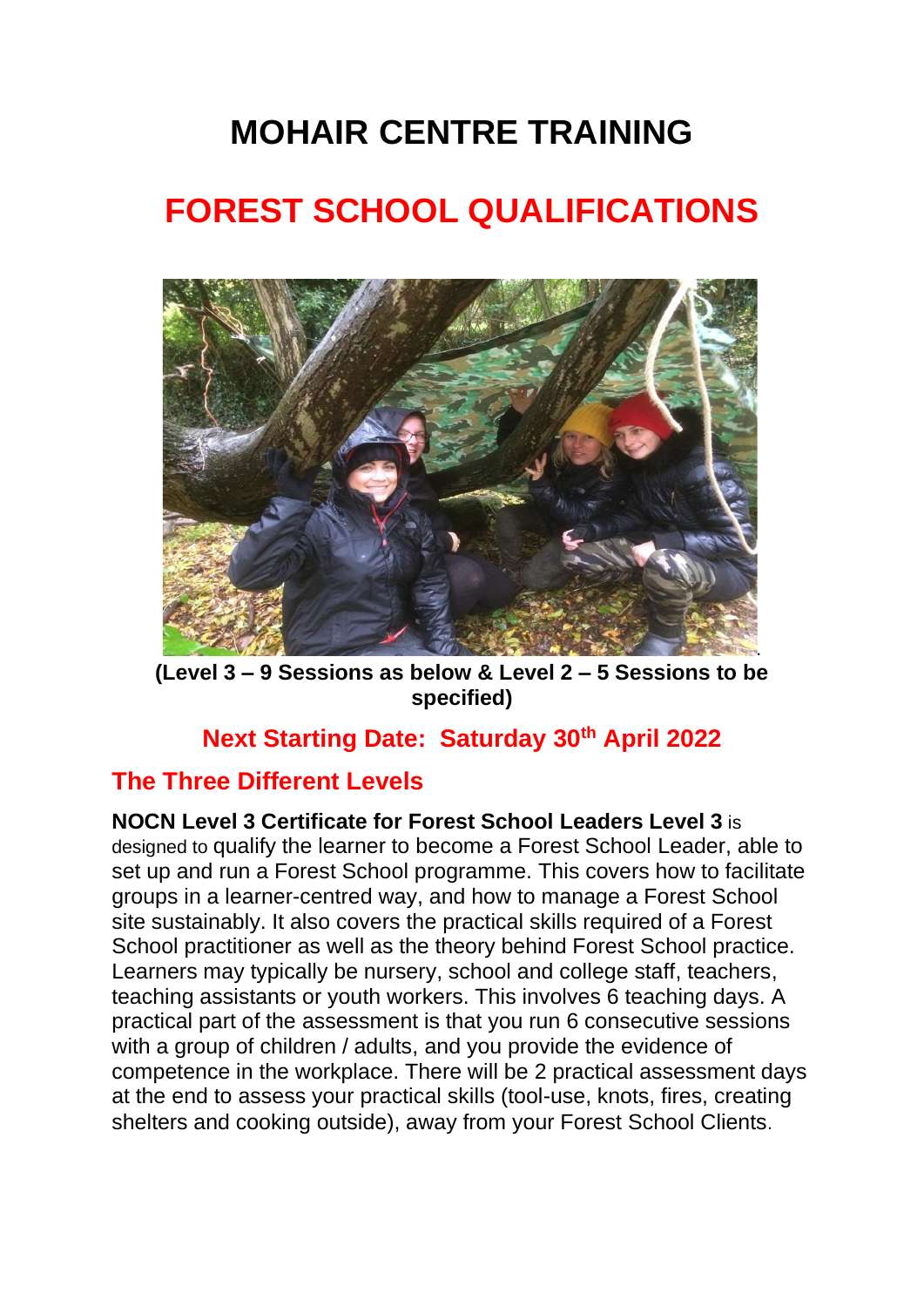# **MOHAIR CENTRE TRAINING**

# **FOREST SCHOOL QUALIFICATIONS**



**(Level 3 – 9 Sessions as below & Level 2 – 5 Sessions to be specified)**

# **Next Starting Date: Saturday 30th April 2022**

# **The Three Different Levels**

**NOCN Level 3 Certificate for Forest School Leaders Level 3** is designed to qualify the learner to become a Forest School Leader, able to set up and run a Forest School programme. This covers how to facilitate groups in a learner-centred way, and how to manage a Forest School site sustainably. It also covers the practical skills required of a Forest School practitioner as well as the theory behind Forest School practice. Learners may typically be nursery, school and college staff, teachers, teaching assistants or youth workers. This involves 6 teaching days. A practical part of the assessment is that you run 6 consecutive sessions with a group of children / adults, and you provide the evidence of competence in the workplace. There will be 2 practical assessment days at the end to assess your practical skills (tool-use, knots, fires, creating shelters and cooking outside), away from your Forest School Clients.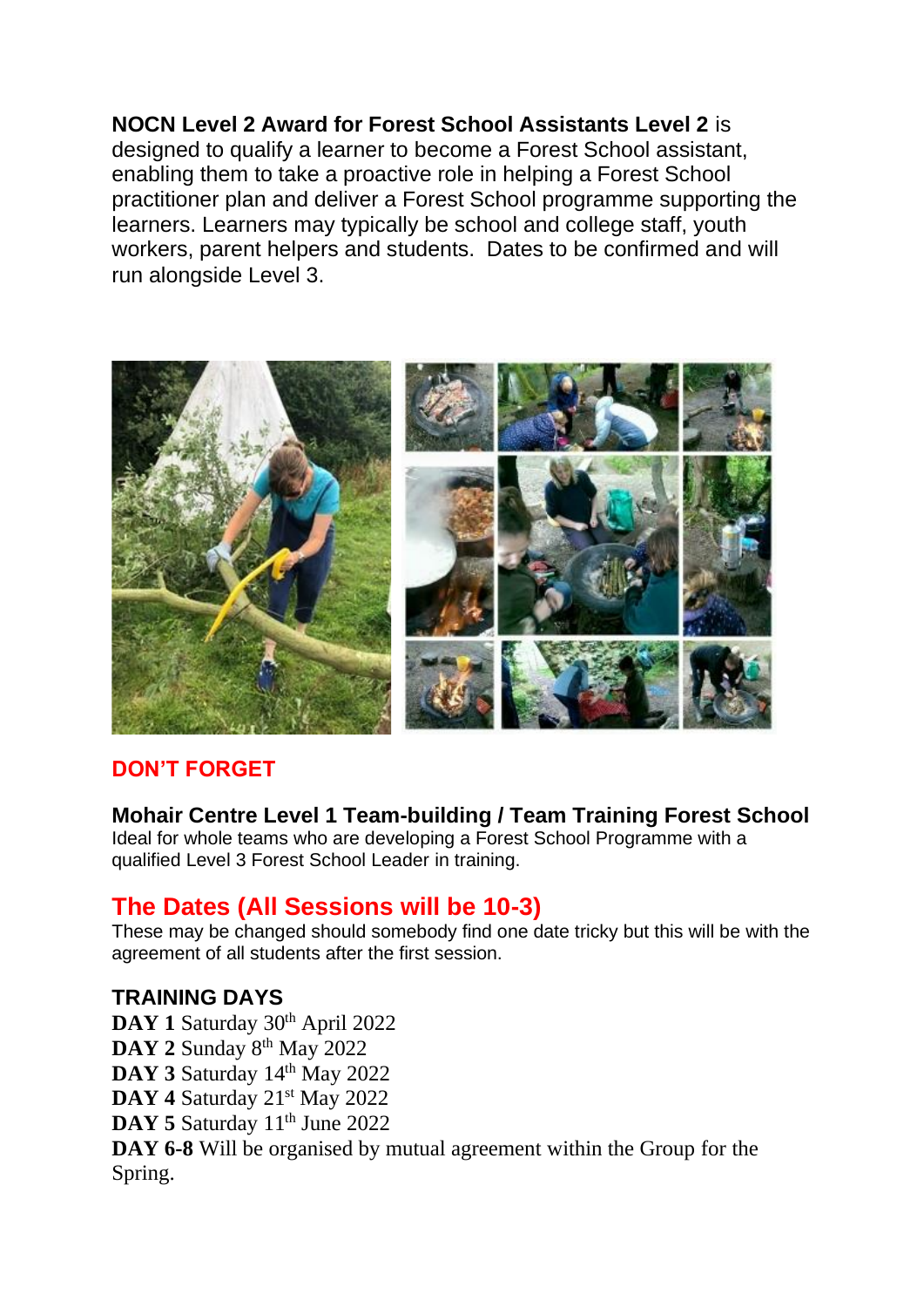# **NOCN Level 2 Award for Forest School Assistants Level 2** is

designed to qualify a learner to become a Forest School assistant, enabling them to take a proactive role in helping a Forest School practitioner plan and deliver a Forest School programme supporting the learners. Learners may typically be school and college staff, youth workers, parent helpers and students. Dates to be confirmed and will run alongside Level 3.



#### **DON'T FORGET**

#### **Mohair Centre Level 1 Team-building / Team Training Forest School**

Ideal for whole teams who are developing a Forest School Programme with a qualified Level 3 Forest School Leader in training.

#### **The Dates (All Sessions will be 10-3)**

These may be changed should somebody find one date tricky but this will be with the agreement of all students after the first session.

#### **TRAINING DAYS**

DAY 1 Saturday 30<sup>th</sup> April 2022 **DAY 2** Sunday 8th May 2022 DAY 3 Saturday 14<sup>th</sup> May 2022 DAY 4 Saturday 21<sup>st</sup> May 2022 DAY 5 Saturday 11<sup>th</sup> June 2022 **DAY 6-8** Will be organised by mutual agreement within the Group for the Spring.